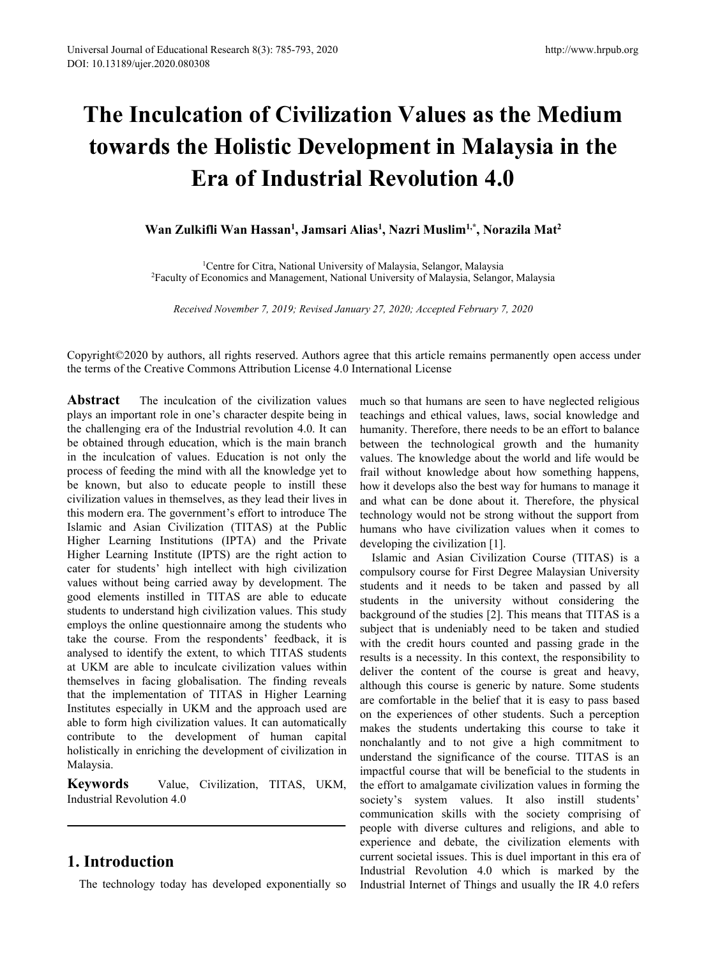# **The Inculcation of Civilization Values as the Medium towards the Holistic Development in Malaysia in the Era of Industrial Revolution 4.0** of Educational Research 8(3): 785-793, 2020<br> **Culcation of Civilization Value<br>
<b>Culcation of Civilization Value**<br> **Culcation of Civilization Value**<br> **Case of Industrial Revoluti**<br>
Wan Zulkifli Wan Hassan<sup>1</sup>, Jamsari Alias<sup></sup> <sup>793, 2020<br> **ivilization Values as the M**<br> **Development in Malaysia**<br> **ustrial Revolution 4.0**<br>
, Jamsari Alias<sup>1</sup>, Nazri Muslim<sup>1,\*</sup>, Norazila Ma<br>
ional University of Malaysia, Selangor, Malaysia<br>
gement, National Univers</sup> http://www.hrpub.org/www.hrpub.org/www.hrpub.org/www.hrpub.org/www.hrpub.org/www.hrpub.org/www.hrpub<br>**1, Nazri Muslim<sup>1,\*</sup>, Norazila Mat<sup>2</sup><br>Aalaysia, Selangor, Malaysia<br>Malaysia, Selangor, Malaysia, Selangor, Malaysia<br>iver** http://www.hrpub.org<br> **as the Medium<br>
<b>1alaysia in the<br>
<b>4.0**<br>
, Norazila Mat<sup>2</sup><br>
<br>
alaysia<br> **Alaysia**<br> **Alaysia** tion of Civilization Values as the Medium<br>
2 Holistic Development in Malaysia in the<br>
2 La of Industrial Revolution 4.0<br>
1 Centre for Citra, National University of Malaysia, Selangor, Malaysia<br>
1 <sup>1</sup>Centre for Citra, Natio **2Faculty of Economics and Management, National University of Malaysia, Selangor, Malaysia**<br>Revelopment in Malaysia in the<br>Nan Zulkifli Wan Hassan<sup>1</sup>, Jamsari Alias<sup>1</sup>, Nazri Muslim<sup>1,\*</sup>, Norazila Mat<sup>2</sup><br><sup>2</sup>Faculty of Eco *Revolution 4.0*<br>*Revolution 4.0***<br>** *Revolution 4.0***<br>** *Zulkifli Wan Hassan<sup>1</sup>, Jamsari Alias<sup>1</sup>, Nazri Muslim<sup>1,\*</sup>, Norazila Mat<sup>2</sup><br>
<sup>1</sup>Centre for Citra, National University of Malaysia, Selangor, Malaysia<br>
<i>Received Nov*

Copyright©2020 by authors, all rights reserved. Authors agree that this article remains permanently open access under the terms of the Creative Commons Attribution License 4.0 International License

Abstract The inculcation of the civilization values plays an important role in one's character despite being in the challenging era of the Industrial revolution 4.0. It can be obtained through education, which is the main branch in the inculcation of values. Education is not only the process of feeding the mind with all the knowledge yet to be known, but also to educate people to instill these civilization values in themselves, as they lead their lives in this modern era. The government's effort to introduce The Islamic and Asian Civilization (TITAS) at the Public Higher Learning Institutions (IPTA) and the Private Higher Learning Institute (IPTS) are the right action to cater for students' high intellect with high civilization values without being carried away by development. The good elements instilled in TITAS are able to educate students to understand high civilization values. This study employs the online questionnaire among the students who take the course. From the respondents' feedback, it is analysed to identify the extent, to which TITAS students at UKM are able to inculcate civilization values within themselves in facing globalisation. The finding reveals that the implementation of TITAS in Higher Learning Institutes especially in UKM and the approach used are able to form high civilization values. It can automatically contribute to the development of human capital holistically in enriching the development of civilization in Malaysia.

**Keywords** Value, Civilization, TITAS, UKM, Industrial Revolution 4.0

# **1. Introduction**

The technology today has developed exponentially so

much so that humans are seen to have neglected religious teachings and ethical values, laws, social knowledge and humanity. Therefore, there needs to be an effort to balance between the technological growth and the humanity values. The knowledge about the world and life would be frail without knowledge about how something happens, how it develops also the best way for humans to manage it and what can be done about it. Therefore, the physical technology would not be strong without the support from humans who have civilization values when it comes to developing the civilization [1].

Islamic and Asian Civilization Course (TITAS) is a compulsory course for First Degree Malaysian University students and it needs to be taken and passed by all students in the university without considering the background of the studies [2]. This means that TITAS is a subject that is undeniably need to be taken and studied with the credit hours counted and passing grade in the results is a necessity. In this context, the responsibility to deliver the content of the course is great and heavy, although this course is generic by nature. Some students are comfortable in the belief that it is easy to passbased on the experiences of other students. Such a perception makes the students undertaking this course to take it nonchalantly and to not give a high commitment to understand the significance of the course. TITAS is an impactful course that will be beneficial to the students in the effort to amalgamate civilization values in forming the society's system values. It also instill students' communication skills with the society comprising of people with diverse cultures and religions, and able to experience and debate, the civilization elements with current societal issues. This is duel important in this era of Industrial Revolution 4.0 which is marked by the Industrial Internet of Things and usually the IR 4.0 refers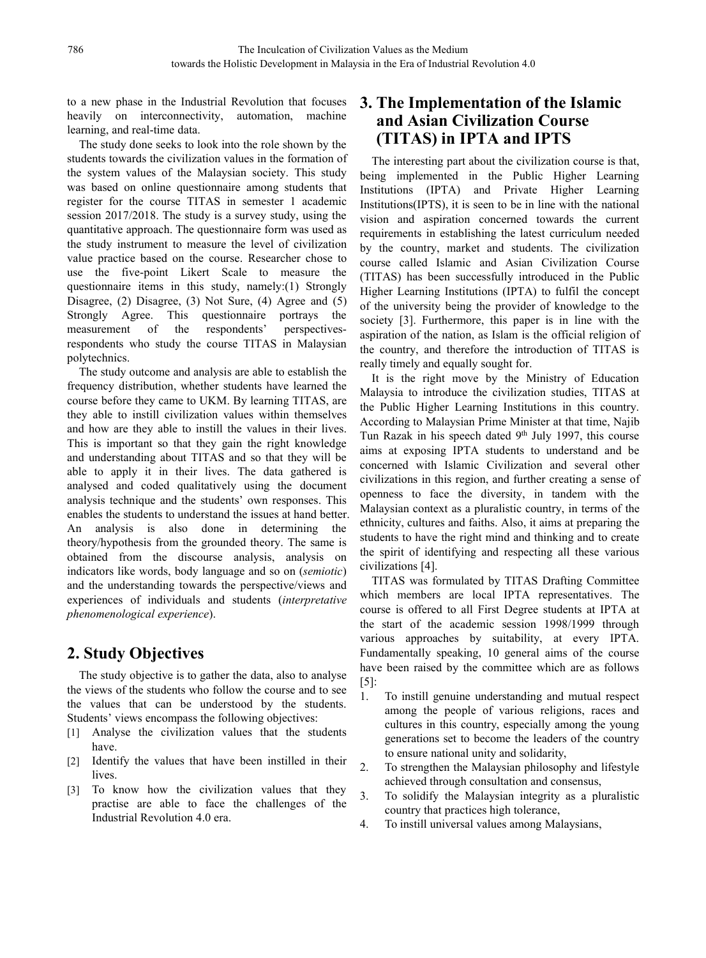to a new phase in the Industrial Revolution that focuses heavily on interconnectivity, automation, machine learning, and real-time data.

The study done seeks to look into the role shown by the students towards the civilization values in the formation of the system values of the Malaysian society. This study was based on online questionnaire among students that register for the course TITAS in semester 1 academic session 2017/2018. The study is a survey study, using the quantitative approach. The questionnaire form was used as the study instrument to measure the level of civilization value practice based on the course. Researcher chose to use the five-point Likert Scale to measure the questionnaire items in this study, namely: $(1)$  Strongly Disagree, (2) Disagree, (3) Not Sure, (4) Agree and (5) Strongly Agree. This questionnaire portrays the measurement of the respondents' perspectivesrespondents who study the course TITAS in Malaysian polytechnics.

The study outcome and analysis are able to establish the frequency distribution, whether students have learned the course before they came to UKM. By learning TITAS, are they able to instill civilization values within themselves and how are they able to instill the values in their lives.This is important so that they gain the right knowledge and understanding about TITAS and so that they will be able to apply it in their lives. The data gathered is analysed and coded qualitatively using the document analysis technique and the students' own responses. This enables the students to understand the issues at hand better. An analysis is also done in determining the theory/hypothesis from the grounded theory. The same is obtained from the discourse analysis, analysis on indicators like words, body language and so on (*semiotic*) and the understanding towards the perspective/views and experiences of individuals and students (*interpretative phenomenological experience*).

# **2. Study Objectives**

The study objective is to gather the data, also to analyse the views of the students who follow the course and to see  $\frac{1}{1}$ . the values that can be understood by the students. Students' views encompass the following objectives:

- [1] Analyse the civilization values that the students have.
- [2] Identify the values that have been instilled in their  $\overline{a}$ lives.
- [3] To know how the civilization values that they 3. practise are able to face the challenges of the Industrial Revolution 4.0 era.

# **3. The Implementation of the Islamic and Asian Civilization Course (TITAS) in IPTA and IPTS**

The interesting part about the civilization course is that, being implemented in the Public Higher Learning Institutions (IPTA) and Private Higher Learning Institutions(IPTS), it is seen to be in line with the national vision and aspiration concerned towards the current requirements in establishing the latest curriculum needed by the country, market and students. The civilization course called Islamic and Asian Civilization Course (TITAS) has been successfully introduced in the Public Higher Learning Institutions (IPTA) to fulfil the concept of the university being the provider of knowledge to the society [3]. Furthermore, this paper is in line with the aspiration of the nation, as Islam is the official religion of the country, and therefore the introduction of TITAS is really timely and equally sought for.

It is the right move by the Ministry of Education Malaysia to introduce the civilization studies, TITAS at the Public Higher Learning Institutions in this country. According to Malaysian Prime Minister at that time, Najib Tun Razak in his speech dated 9<sup>th</sup> July 1997, this course aims at exposing IPTA students to understand and be concerned with Islamic Civilization and several other civilizations in this region, and further creating a sense of openness to face the diversity, in tandem with the Malaysian context as a pluralistic country, in terms of the ethnicity, cultures and faiths. Also, it aims at preparing the students to have the right mind and thinking and to create the spirit of identifying and respecting all these various civilizations [4].

TITAS was formulated by TITAS Drafting Committee which members are local IPTA representatives. The course is offered to all First Degree students at IPTA at the start of the academic session 1998/1999 through various approaches by suitability, at every IPTA. Fundamentally speaking, 10 general aims of the course have been raised by the committee which are as follows [5]:

- 1. To instill genuine understanding and mutual respect among the people of various religions, races and cultures in this country, especially among the young generations set to become the leaders of the country to ensure national unity and solidarity,
- To strengthen the Malaysian philosophy and lifestyle achieved through consultation and consensus,
- To solidify the Malaysian integrity as a pluralistic country that practices high tolerance,
- 4. To instill universal values among Malaysians,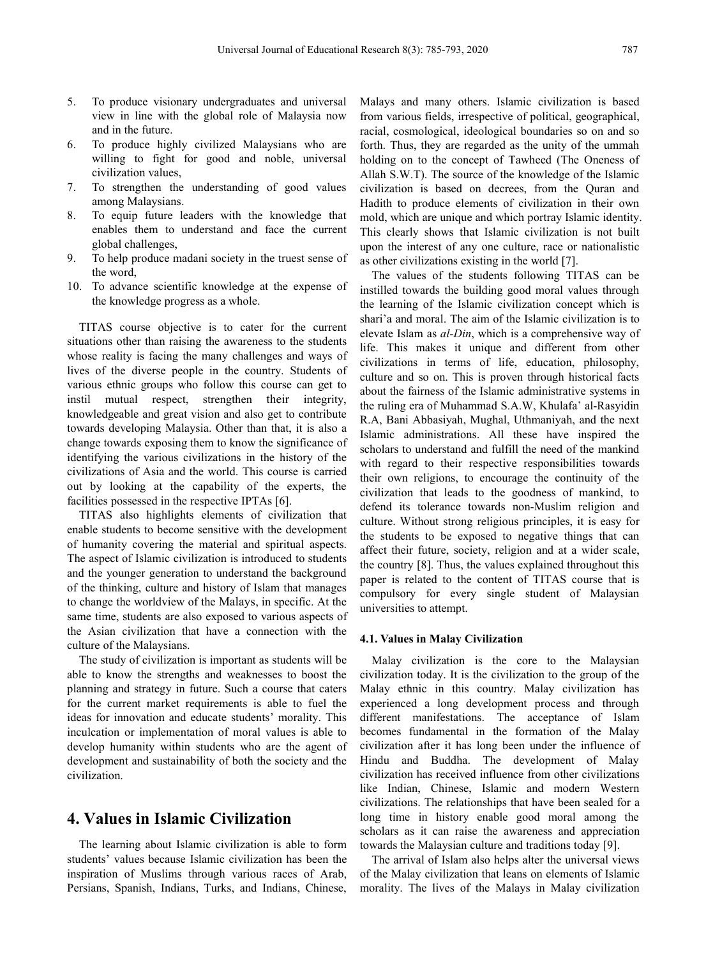- 5. To produce visionary undergraduates and universal view in line with the global role of Malaysia now and in the future.
- 6. To produce highly civilized Malaysians who are willing to fight for good and noble, universal civilization values,
- 7. To strengthen the understanding of good values among Malaysians.
- 8. To equip future leaders with the knowledge that enables them to understand and face the current global challenges,
- 9. To help produce madani society in the truest sense of the word,
- 10. To advance scientific knowledge at the expense of the knowledge progress as a whole.

TITAS course objective is to cater for the current situations other than raising the awareness to the students whose reality is facing the many challenges and ways of lives of the diverse people in the country. Students of various ethnic groups who follow this course can get to instil mutual respect, strengthen their integrity, knowledgeable and great vision and also get to contribute towards developing Malaysia. Other than that, it is also a change towards exposing them to know the significance of identifying the various civilizations in the history of the civilizations of Asia and the world. This course is carried out by looking at the capability of the experts, the facilities possessed in the respective IPTAs [6].

TITAS also highlights elements of civilization that enable students to become sensitive with the development of humanity covering the material and spiritual aspects. The aspect of Islamic civilization is introduced to students and the younger generation to understand the background of the thinking, culture and history of Islam that manages to change the worldview of the Malays, in specific. At the same time, students are also exposed to various aspects of the Asian civilization that have a connection with the culture of the Malaysians.

The study of civilization is important as students will be able to know the strengths and weaknesses to boost the planning and strategy in future. Such a course that caters for the current market requirements is able to fuel the ideas for innovation and educate students' morality. This inculcation or implementation of moral values is able to develop humanity within students who are the agent of development and sustainability of both the society and the civilization.

## **4. Values in Islamic Civilization**

The learning about Islamic civilization is able to form students' values because Islamic civilization has been the inspiration of Muslims through various races of Arab, Persians, Spanish, Indians, Turks, and Indians, Chinese,

Malays and many others. Islamic civilization is based from various fields, irrespective of political, geographical, racial, cosmological, ideological boundaries so on and so forth. Thus, they are regarded as the unity of the ummah holding on to the concept of Tawheed (The Oneness of Allah S.W.T). The source of the knowledge of the Islamic civilization is based on decrees, from the Quran and Hadith to produce elements of civilization in their own mold, which are unique and which portray Islamic identity. This clearly shows that Islamic civilization is not built upon the interest of any one culture, race or nationalistic as other civilizations existing in the world [7].

The values of the students following TITAS can be instilled towards the building good moral values through the learning of the Islamic civilization concept which is shari'a and moral. The aim of the Islamic civilization is to elevate Islam as *al-Din*, which is a comprehensive way of life. This makes it unique and different from other civilizations in terms of life, education, philosophy, culture and so on. This is proven through historical facts about the fairness of the Islamic administrative systems in the ruling era of Muhammad S.A.W, Khulafa' al-Rasyidin R.A, Bani Abbasiyah, Mughal, Uthmaniyah, and the next Islamic administrations. All these have inspired the scholars to understand and fulfill the need of the mankind with regard to their respective responsibilities towards their own religions, to encourage the continuity of the civilization that leads to the goodness of mankind, to defend its tolerance towards non-Muslim religion and culture. Without strong religious principles, it is easy for the students to be exposed to negative things that can affect their future, society, religion and at a wider scale, the country [8]. Thus, the values explained throughout this paper is related to the content of TITAS course that is compulsory for every single student of Malaysian universities to attempt.

#### **4.1. Values in Malay Civilization**

Malay civilization is the core to the Malaysian civilization today. It is the civilization to the group of the Malay ethnic in this country. Malay civilization has experienced a long development process and through different manifestations. The acceptance of Islam becomes fundamental in the formation of the Malay civilization after it has long been under the influence of Hindu and Buddha. The development of Malay civilization has received influence from other civilizations like Indian, Chinese, Islamic and modern Western civilizations. The relationships that have been sealed for a long time in history enable good moral among the scholars as it can raise the awareness and appreciation towards the Malaysian culture and traditions today [9].

The arrival of Islam also helps alter the universal views of the Malay civilization that leans on elements of Islamic morality. The lives of the Malays in Malay civilization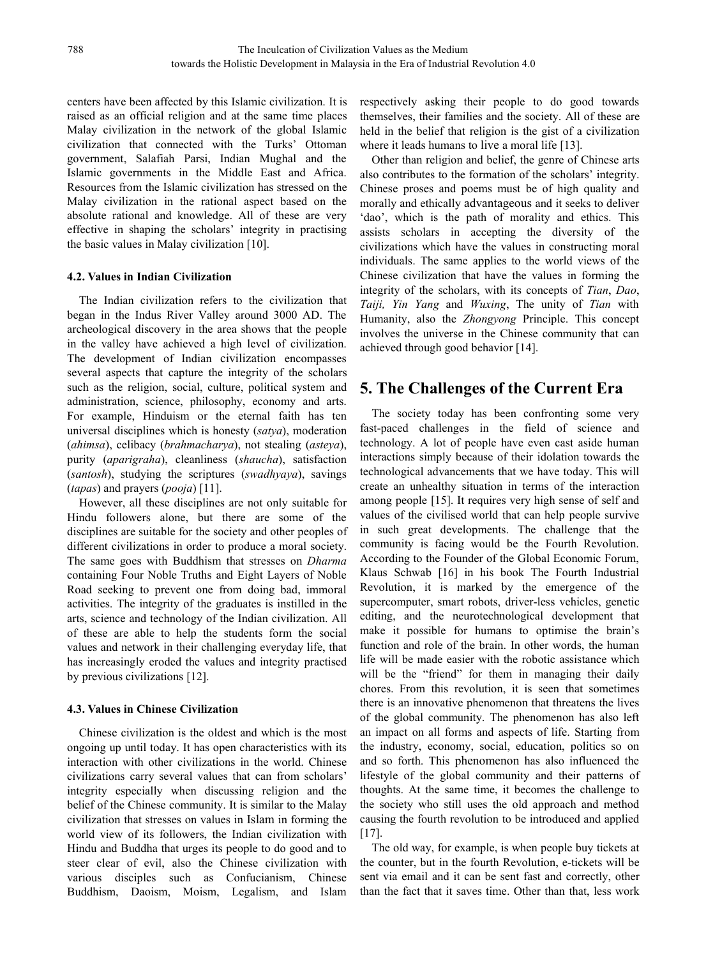centers have been affected by this Islamic civilization. It is raised as an official religion and at the same time places Malay civilization in the network of the global Islamic civilization that connected with the Turks' Ottoman government, Salafiah Parsi, Indian Mughal and the Islamic governments in the Middle East and Africa. Resources from the Islamic civilization has stressed on the Malay civilization in the rational aspect based on the absolute rational and knowledge. All of these are very effective in shaping the scholars' integrity in practising the basic values in Malay civilization [10].

#### **4.2. Values in Indian Civilization**

The Indian civilization refers to the civilization that began in the Indus River Valley around 3000 AD. The archeological discovery in the area shows that the people in the valley have achieved a high level of civilization. The development of Indian civilization encompasses several aspects that capture the integrity of the scholars such as the religion, social, culture, political system and administration, science, philosophy, economy and arts. For example, Hinduism or the eternal faith has ten universal disciplines which is honesty (*satya*), moderation (*ahimsa*), celibacy (*brahmacharya*), not stealing (*asteya*), purity (*aparigraha*), cleanliness (*shaucha*), satisfaction (*santosh*), studying the scriptures (*swadhyaya*), savings (*tapas*) and prayers (*pooja*) [11].

However, all these disciplines are not only suitable for Hindu followers alone, but there are some of the disciplines are suitable for the society and other peoples of different civilizations in order to produce a moral society. The same goes with Buddhism that stresses on *Dharma* containing Four Noble Truths and Eight Layers of Noble Road seeking to prevent one from doing bad, immoral activities. The integrity of the graduates is instilled in the arts, science and technology of the Indian civilization. All of these are able to help the students form the social values and network in their challenging everyday life, that has increasingly eroded the values and integrity practised by previous civilizations [12].

#### **4.3. Values in Chinese Civilization**

Chinese civilization is the oldest and which is the most ongoing up until today. It has open characteristics with its interaction with other civilizations in the world. Chinese civilizations carry several values that can from scholars' integrity especially when discussing religion and the belief of the Chinese community. It is similar to the Malay civilization that stresses on values in Islam in forming the world view of its followers, the Indian civilization with Hindu and Buddha that urges its people to do good and to steer clear of evil, also the Chinese civilization with various disciples such as Confucianism, Chinese Buddhism, Daoism, Moism, Legalism, and Islam

respectively asking their people to do good towards themselves, their families and the society. All of these are held in the belief that religion is the gist of a civilization where it leads humans to live a moral life [13].

Other than religion and belief, the genre of Chinese arts also contributes to the formation of the scholars' integrity. Chinese proses and poems must be of high quality and morally and ethically advantageous and it seeks to deliver 'dao', which is the path of morality and ethics. This assists scholars in accepting the diversity of the civilizations which have the values in constructing moral individuals. The same applies to the world views of the Chinese civilization that have the values in forming the integrity of the scholars, with its concepts of *Tian*, *Dao*, *Taiji, Yin Yang* and *Wuxing*, The unity of *Tian* with Humanity, also the *Zhongyong* Principle. This concept involves the universe in the Chinese community that can achieved through good behavior [14].

# **5. The Challenges ofthe Current Era**

The society today has been confronting some very fast-paced challenges in the field of science and technology. A lot of people have even cast aside human interactions simply because of their idolation towards the technological advancements that we have today. This will create an unhealthy situation in terms of the interaction among people [15]. It requires very high sense of self and values of the civilised world that can help people survive in such great developments. The challenge that the community is facing would be the Fourth Revolution. According to the Founder of the Global Economic Forum, Klaus Schwab [16] in his book The Fourth Industrial Revolution, it is marked by the emergence of the supercomputer, smart robots, driver-less vehicles, genetic editing, and the neurotechnological development that make it possible for humans to optimise the brain's function and role of the brain. In other words, the human life will be made easier with the robotic assistance which will be the "friend" for them in managing their daily chores. From this revolution, it is seen that sometimes there is an innovative phenomenon that threatens the lives of the global community. The phenomenon has also left an impact on all forms and aspects of life. Starting from the industry, economy, social, education, politics so on and so forth. This phenomenon has also influenced the lifestyle of the global community and their patterns of thoughts. At the same time, it becomes the challenge to the society who still uses the old approach and method causing the fourth revolution to be introduced and applied [17].

The old way, for example, is when people buy tickets at the counter, but in the fourth Revolution, e-tickets will be sent via email and it can be sent fast and correctly, other than the fact that it saves time. Other than that, less work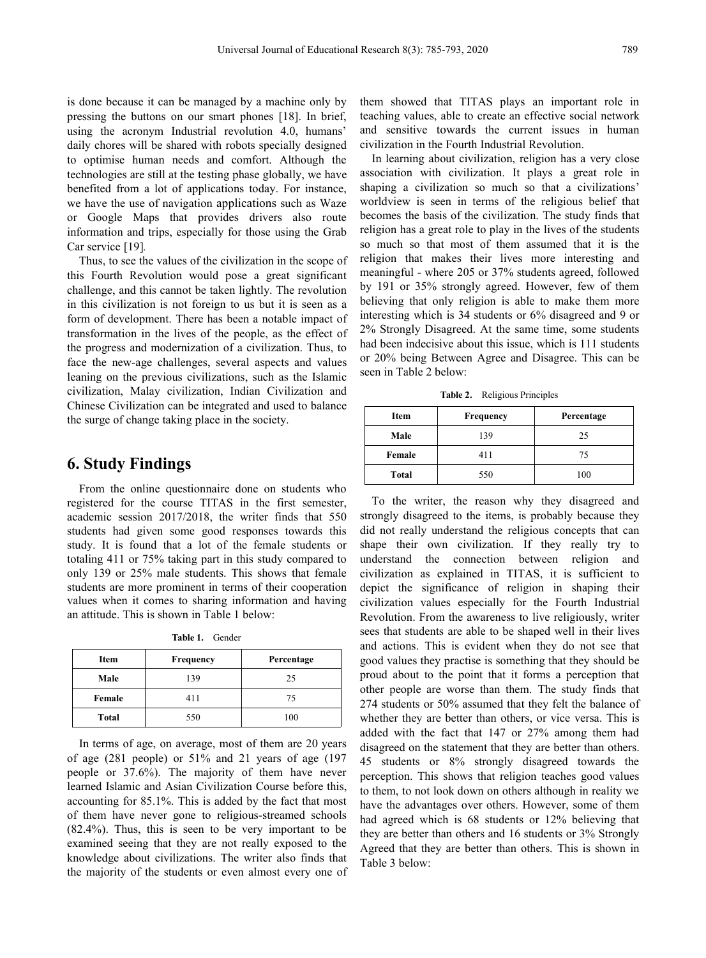is done because it can be managed by a machine only by pressing the buttons on our smart phones [18]. In brief, using the acronym Industrial revolution 4.0, humans' daily chores will be shared with robots specially designed to optimise human needs and comfort. Although the technologies are still at the testing phase globally, we have benefited from a lot of applications today. For instance, we have the use of navigation applications such as Waze or Google Maps that provides drivers also route information and trips, especially for those using the Grab Car service [19]*.*

Thus, to see the values of the civilization in the scope of this Fourth Revolution would pose a great significant challenge, and this cannot be taken lightly. The revolution in this civilization is not foreign to us but it is seen as a form of development. There has been a notable impact of transformation in the lives of the people, as the effect of the progress and modernization of a civilization. Thus, to face the new-age challenges, several aspects and values leaning on the previous civilizations, such as the Islamic civilization, Malay civilization, Indian Civilization and Chinese Civilization can be integrated and used to balance the surge of change taking place in the society.

### **6. Study Findings**

From the online questionnaire done on students who registered for the course TITAS in the first semester, academic session 2017/2018, the writer finds that 550 students had given some good responses towards this study. It is found that a lot of the female students or totaling 411 or 75% taking part in this study compared to only 139 or 25% male students. This shows that female students are more prominent in terms of their cooperation values when it comes to sharing information and having an attitude. This is shown in Table 1 below:

**Table 1.** Gender

| Item         | Frequency | Percentage |
|--------------|-----------|------------|
| Male         | 139       | 25         |
| Female       | 411       | 75         |
| <b>Total</b> | 550       | 100        |

In terms of age, on average, most of them are 20 years of age (281 people) or 51% and 21 years of age (197 people or 37.6%). The majority of them have never learned Islamic and Asian Civilization Course before this, accounting for 85.1%. This is added by the fact that most of them have never gone to religious-streamed schools (82.4%). Thus, this is seen to be very important to be examined seeing that they are not really exposed to the knowledge about civilizations. The writer also finds that the majority of the students or even almost every one of

them showed that TITAS plays an important role in teaching values, able to create an effective social network and sensitive towards the current issues in human civilization in the Fourth Industrial Revolution.

In learning about civilization, religion has a very close association with civilization. It plays a great role in shaping a civilization so much so that a civilizations' worldview is seen in terms of the religious belief that becomes the basis of the civilization. The study finds that religion has a great role to play in the lives of the students so much so that most of them assumed that it is the religion that makes their lives more interesting and meaningful - where 205 or 37% students agreed, followed by 191 or 35% strongly agreed. However, few of them believing that only religion is able to make them more interesting which is 34 students or 6% disagreed and 9 or 2% Strongly Disagreed.At the same time, some students had been indecisive about this issue, which is 111 students or 20% being Between Agree and Disagree. This can be seen in Table 2 below:

**Table 2.** Religious Principles

| <b>Item</b> | Frequency | Percentage |
|-------------|-----------|------------|
| Male        | 139       | 25         |
| Female      | 411       | 75         |
| Total       | 550       | 100        |

**Item Frequency Percentage** good values they practise is something that they should be **Total** 550 100 whether they are better than others, or vice versa. This is To the writer, the reason why they disagreed and strongly disagreed to the items, is probably because they did not really understand the religious concepts that can shape their own civilization. If they really try to understand the connection between religion and civilization as explained in TITAS, it is sufficient to depict the significance of religion in shaping their civilization values especially for the Fourth Industrial Revolution. From the awareness to live religiously, writer sees that students are able to be shaped well in their lives and actions. This is evident when they do not see that proud about to the point that it forms a perception that other people are worse than them. The study finds that 274 students or 50% assumed that they felt the balance of added with the fact that 147 or 27% among them had disagreed on the statement that they are better than others. 45 students or 8% strongly disagreed towards the perception. This shows that religion teaches good values to them, to not look down on others although in reality we have the advantages over others. However, some of them had agreed which is 68 students or 12% believing that they are better than others and 16 students or 3% Strongly Agreed that they are better than others. This is shown in Table 3 below: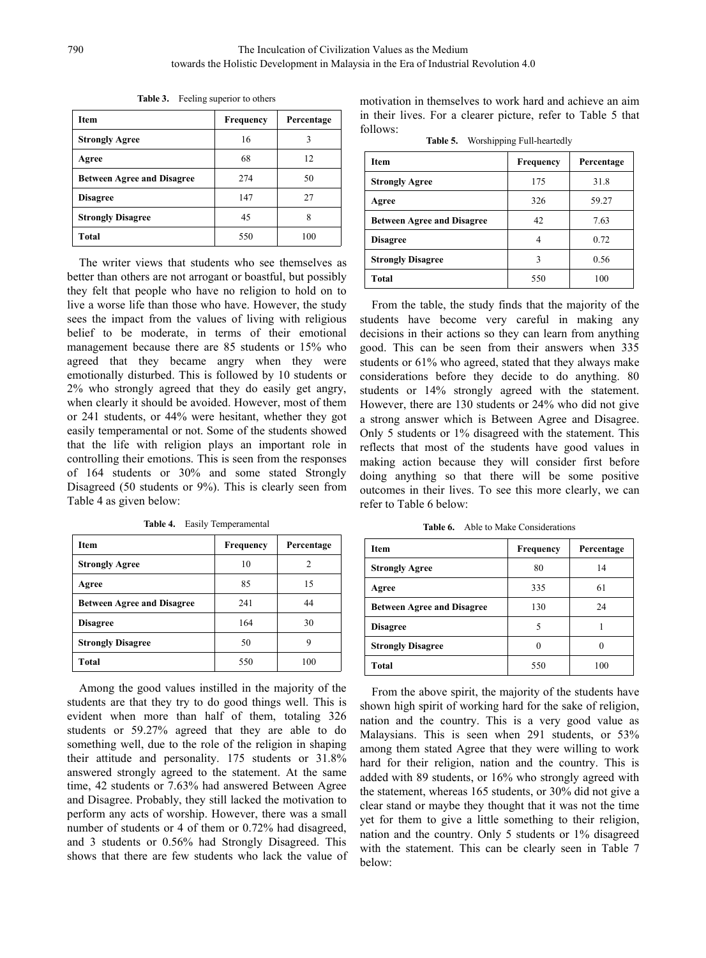| <b>Item</b>                       | <b>Frequency</b> | Percentage | in their liv<br>follows: |
|-----------------------------------|------------------|------------|--------------------------|
| <b>Strongly Agree</b>             | 16               | 3          |                          |
| Agree                             | 68               | 12         | <b>Item</b>              |
| <b>Between Agree and Disagree</b> | 274              | 50         | Strongly A               |
| <b>Disagree</b>                   | 147              | 27         | Agree                    |
| <b>Strongly Disagree</b>          | 45               | 8          | Between A                |
| Total                             | 550              | 100        | <b>Disagree</b>          |

**Table 3.** Feeling superior to others

The writer views that students who see themselves as better than others are not arrogant or boastful, but possibly they felt that people who have no religion to hold on to live a worse life than those who have. However, the study sees the impact from the values of living with religious belief to be moderate, in terms of their emotional management because there are 85 students or 15% who agreed that they became angry when they were emotionally disturbed. This is followed by 10 students or 2% who strongly agreed that they do easily get angry, when clearly it should be avoided. However, most of them or 241 students, or 44% were hesitant, whether they got easily temperamental or not. Some of the students showed that the life with religion plays an important role in controlling their emotions. This is seen from the responses of 164 students or 30% and some stated Strongly Disagreed (50 students or 9%). This is clearly seen from Table 4 as given below:

| <b>Item</b>                       | <b>Frequency</b> | Percentage     | Item              |
|-----------------------------------|------------------|----------------|-------------------|
| <b>Strongly Agree</b>             | 10               | $\overline{c}$ | Strongly A        |
| Agree                             | 85               | 15             | Agree             |
| <b>Between Agree and Disagree</b> | 241              | 44             | Between A         |
| <b>Disagree</b>                   | 164              | 30             | <b>Disagree</b>   |
| <b>Strongly Disagree</b>          | 50               | 9              | <b>Strongly I</b> |
| Total                             | 550              | 100            | <b>Total</b>      |

**Table 4.** Easily Temperamental

Among the good values instilled in the majority of the students are that they try to do good things well. This is evident when more than half of them, totaling 326 students or 59.27% agreed that they are able to do something well, due to the role of the religion in shaping their attitude and personality. 175 students or 31.8% answered strongly agreed to the statement. At the same time, 42 students or 7.63% had answered Between Agree and Disagree. Probably, they still lacked the motivation to perform any acts of worship. However, there was a small number of students or 4 of them or 0.72% had disagreed, and 3 students or 0.56% had Strongly Disagreed. This shows that there are few students who lack the value of motivation in themselves to work hard and achieve an aim in their lives.For a clearer picture, refer to Table 5 that follows:

**Table 5.** Worshipping Full-heartedly

| <b>Item</b>                       | <b>Frequency</b> | Percentage |
|-----------------------------------|------------------|------------|
| <b>Strongly Agree</b>             | 175              | 31.8       |
| Agree                             | 326              | 59.27      |
| <b>Between Agree and Disagree</b> | 42               | 7.63       |
| <b>Disagree</b>                   | 4                | 0.72       |
| <b>Strongly Disagree</b>          | 3                | 0.56       |
| <b>Total</b>                      | 550              | 100        |

From the table, the study finds that the majority of the students have become very careful in making any decisions in their actions so they can learn from anything good. This can be seen from their answers when 335 students or 61% who agreed, stated that they always make considerations before they decide to do anything. 80 students or 14% strongly agreed with the statement. However, there are 130 students or 24% who did not give a strong answer which is Between Agree and Disagree. Only 5 students or 1% disagreed with the statement. This reflects that most of the students have good values in making action because they will consider first before doing anything so that there will be some positive outcomes in their lives.To see this more clearly, we can refer to Table 6 below:

**Table 6.** Able to Make Considerations

| <b>Item</b>                       | Frequency | Percentage |
|-----------------------------------|-----------|------------|
| <b>Strongly Agree</b>             | 80        | 14         |
| Agree                             | 335       | 61         |
| <b>Between Agree and Disagree</b> | 130       | 24         |
| <b>Disagree</b>                   | 5         |            |
| <b>Strongly Disagree</b>          | $\theta$  | $\theta$   |
| <b>Total</b>                      | 550       | 100        |

From the above spirit, the majority of the students have shown high spirit of working hard for the sake of religion, nation and the country. This is a very good value as Malaysians. This is seen when 291 students, or 53% among them stated Agree that they were willing to work hard for their religion, nation and the country. This is added with 89 students, or 16% who strongly agreed with the statement, whereas 165 students, or 30% did not give a clear stand or maybe they thought that it was not the time yet for them to give a little something to their religion, nation and the country. Only 5 students or 1% disagreed with the statement. This can be clearly seen in Table 7 below: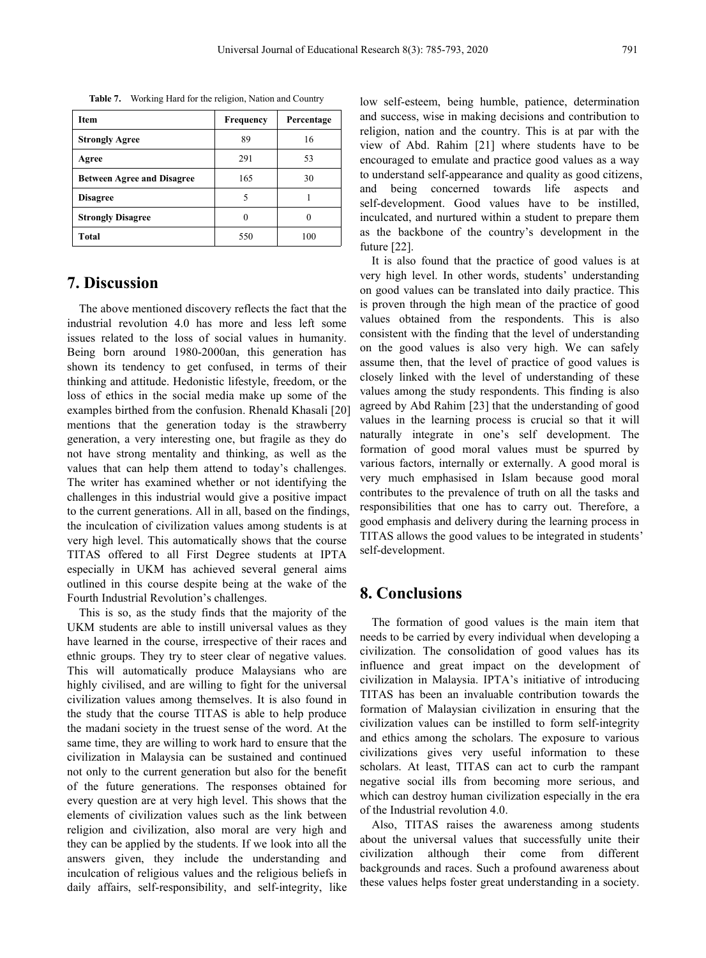| <b>Item</b>                       | <b>Frequency</b> | Percentage | and succes                                                                                                                        |
|-----------------------------------|------------------|------------|-----------------------------------------------------------------------------------------------------------------------------------|
| <b>Strongly Agree</b>             | 89               | 16         | religion, n<br>view of $A$<br>encouraged<br>to understa<br>bein<br>and<br>self-develo<br>inculcated,<br>as the bad<br>future [22] |
| Agree                             | 291              | 53         |                                                                                                                                   |
| <b>Between Agree and Disagree</b> | 165              | 30         |                                                                                                                                   |
| <b>Disagree</b>                   | 5                |            |                                                                                                                                   |
| <b>Strongly Disagree</b>          | 0                | 0          |                                                                                                                                   |
| Total                             | 550              | 100        |                                                                                                                                   |

**Table 7.** Working Hard for the religion, Nation and Country

# **7. Discussion**

The above mentioned discovery reflects the fact that the industrial revolution 4.0 has more and less left some issues related to the loss of social values in humanity. Being born around 1980-2000an, this generation has shown its tendency to get confused, in terms of their thinking and attitude. Hedonistic lifestyle, freedom, or the loss of ethics in the social media make up some of the examples birthed from the confusion. Rhenald Khasali [20] mentions that the generation today is the strawberry generation, a very interesting one, but fragile as they do not have strong mentality and thinking, as well as the values that can help them attend to today's challenges. The writer has examined whether or not identifying the challenges in this industrial would give a positive impact to the current generations. All in all, based on the findings, the inculcation of civilization values among students is at very high level. This automatically shows that the course TITAS offered to all First Degree students at IPTA especially in UKM has achieved several general aims outlined in this course despite being at the wake of the Fourth Industrial Revolution's challenges.

This is so, as the study finds that the majority of the UKM students are able to instill universal values as they have learned in the course, irrespective of their races and ethnic groups. They try to steer clear of negative values. This will automatically produce Malaysians who are highly civilised, and are willing to fight for the universal civilization values among themselves. It is also found in the study that the course TITAS is able to help produce the madani society in the truest sense of the word. At the same time, they are willing to work hard to ensure that the civilization in Malaysia can be sustained and continued not only to the current generation but also for the benefit of the future generations. The responses obtained for every question are at very high level. This shows that the elements of civilization values such as the link between religion and civilization, also moral are very high and they can be applied by the students. If we look into all the answers given, they include the understanding and inculcation of religious values and the religious beliefs in daily affairs, self-responsibility, and self-integrity, like

Agree 291 53 encouraged to emulate and practice good values as a way **Strongly Disagree 1** 0 0 0 inculcated, and nurtured within a student to prepare them low self-esteem, being humble, patience, determination and success, wise in making decisions and contribution to religion, nation and the country. This is at par with the view of Abd. Rahim [21] where students have to be to understand self-appearance and quality as good citizens, and being concerned towards life aspects and self-development. Good values have to be instilled, as the backbone of the country's development in the future [22].

> It is also found that the practice of good values is at very high level. In other words, students' understanding on good values can be translated into daily practice. This is proven through the high mean of the practice of good values obtained from the respondents. This is also consistent with the finding that the level of understanding on the good values is also very high. We can safely assume then, that the level of practice of good values is closely linked with the level of understanding of these values among the study respondents. This finding is also agreed by Abd Rahim [23] that the understanding of good values in the learning process is crucial so that it will naturally integrate in one's self development. The formation of good moral values must be spurred by various factors, internally or externally. A good moral is very much emphasised in Islam because good moral contributes to the prevalence of truth on all the tasks and responsibilities that one has to carry out. Therefore, a good emphasis and delivery during the learning process in TITAS allows the good values to be integrated in students' self-development.

# **8. Conclusions**

The formation of good values is the main item that needs to be carried by every individual when developing a civilization. The consolidation of good values has its influence and great impact on the development of civilization in Malaysia. IPTA's initiative of introducing TITAS has been an invaluable contribution towards the formation of Malaysian civilization in ensuring that the civilization values can be instilled to form self-integrity and ethics among the scholars. The exposure to various civilizations gives very useful information to these scholars. At least, TITAS can act to curb the rampant negative social ills from becoming more serious, and which can destroy human civilization especially in the era of the Industrial revolution 4.0.

Also, TITAS raises the awareness among students about the universal values that successfully unite their civilization although their come from different backgrounds and races. Such a profound awareness about these values helps foster great understanding in a society.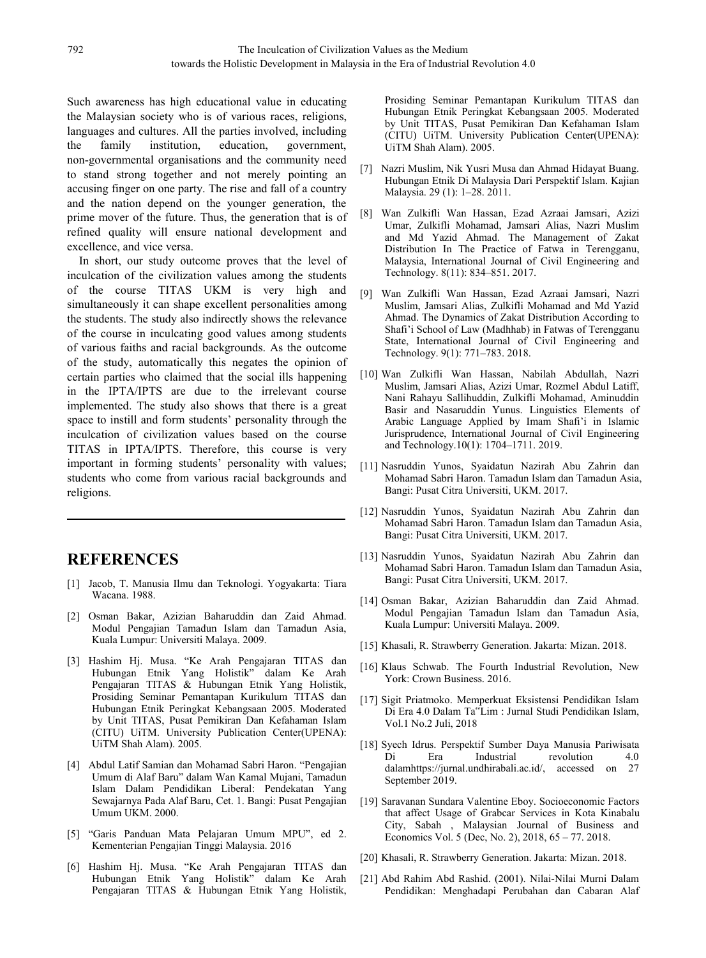Such awareness has high educational value in educating the Malaysian society who is of various races, religions, languages and cultures. All the parties involved, including the family institution, education, government, non-governmental organisations and the community need to stand strong together and not merely pointing an accusing finger on one party. The rise and fall of a country and the nation depend on the younger generation, the numerover of the future. Thus, the generation that is of  $[8]$ prime mover of the future. Thus, the generation that is of refined quality will ensure national development and excellence, and vice versa.

In short, our study outcome proves that the level of inculcation of the civilization values among the students of the course TITAS UKM is very high and [9] simultaneously it can shape excellent personalities among the students. The study also indirectly shows the relevance of the course in inculcating good values among students of various faiths and racial backgrounds. As the outcome of the study, automatically this negates the opinion of certain parties who claimed that the social ills happening in the IPTA/IPTS are due to the irrelevant course implemented. The study also shows that there is a great space to instill and form students' personality through the inculcation of civilization values based on the course TITAS in IPTA/IPTS. Therefore, this course is very important in forming students' personality with values; students who come from various racial backgrounds and religions.

# **REFERENCES**

- [1] Jacob, T. Manusia Ilmu dan Teknologi.Yogyakarta: Tiara Wacana. 1988.
- [2] Osman Bakar, Azizian Baharuddin dan Zaid Ahmad. Modul Pengajian Tamadun Islam dan Tamadun Asia, Kuala Lumpur: Universiti Malaya. 2009.
- [3] Hashim Hj. Musa. "Ke Arah Pengajaran TITAS dan Hubungan Etnik Yang Holistik" dalam Ke Arah Pengajaran TITAS & Hubungan Etnik Yang Holistik, Prosiding Seminar Pemantapan Kurikulum TITAS dan Hubungan Etnik Peringkat Kebangsaan 2005. Moderated by Unit TITAS, Pusat Pemikiran Dan Kefahaman Islam (CITU) UiTM. University Publication Center(UPENA): UiTM Shah Alam). 2005.
- [4] Abdul Latif Samian dan Mohamad Sabri Haron. "Pengajian Umum di Alaf Baru" dalam Wan Kamal Mujani, Tamadun Islam Dalam Pendidikan Liberal: Pendekatan Yang Sewajarnya Pada Alaf Baru, Cet. 1. Bangi: Pusat Pengajian Umum UKM. 2000.
- [5] "Garis Panduan Mata Pelajaran Umum MPU", ed 2. Economics Vol. 5 (Dec, No. 2), 2018, 65 77. 2018. Kementerian Pengajian Tinggi Malaysia. 2016
- [6] Hashim Hj. Musa. "Ke Arah Pengajaran TITAS dan Hubungan Etnik Yang Holistik" dalam Ke Arah Pengajaran TITAS & Hubungan Etnik Yang Holistik,

Prosiding Seminar Pemantapan Kurikulum TITAS dan Hubungan Etnik Peringkat Kebangsaan 2005. Moderated by Unit TITAS, Pusat Pemikiran Dan Kefahaman Islam (CITU) UiTM. University Publication Center(UPENA): UiTM Shah Alam). 2005.

- [7] Nazri Muslim, Nik Yusri Musa dan Ahmad Hidayat Buang. Hubungan Etnik Di Malaysia Dari Perspektif Islam. Kajian Malaysia. 29 (1): 1–28. 2011.
- [8] Wan Zulkifli Wan Hassan, Ezad Azraai Jamsari, Azizi Umar, Zulkifli Mohamad, Jamsari Alias, Nazri Muslim and Md Yazid Ahmad. The Management of Zakat Distribution In The Practice of Fatwa in Terengganu, Malaysia, International Journal of Civil Engineering and Technology. 8(11): 834–851. 2017.
- [9] Wan Zulkifli Wan Hassan, Ezad Azraai Jamsari, Nazri Muslim, Jamsari Alias, Zulkifli Mohamad and Md Yazid Ahmad. The Dynamics of Zakat Distribution According to Shafi'i School of Law (Madhhab) in Fatwas of Terengganu State, International Journal of Civil Engineering and Technology. 9(1): 771–783. 2018.
- [10] Wan Zulkifli Wan Hassan, Nabilah Abdullah, Nazri Muslim, Jamsari Alias, Azizi Umar, Rozmel Abdul Latiff, Nani Rahayu Sallihuddin, Zulkifli Mohamad, Aminuddin Basir and Nasaruddin Yunus. Linguistics Elements of Arabic Language Applied by Imam Shafi'i in Islamic Jurisprudence, International Journal of Civil Engineering and Technology.10(1): 1704–1711. 2019.
- [11] Nasruddin Yunos, Syaidatun Nazirah Abu Zahrin dan Mohamad Sabri Haron. Tamadun Islam dan Tamadun Asia, Bangi: Pusat Citra Universiti, UKM. 2017.
- [12] Nasruddin Yunos, Syaidatun Nazirah Abu Zahrin dan Mohamad Sabri Haron. Tamadun Islam dan Tamadun Asia, Bangi: Pusat Citra Universiti, UKM. 2017.
- [13] Nasruddin Yunos, Syaidatun Nazirah Abu Zahrin dan Mohamad Sabri Haron. Tamadun Islam dan Tamadun Asia, Bangi: Pusat Citra Universiti, UKM. 2017.
- [14] Osman Bakar, Azizian Baharuddin dan Zaid Ahmad. Modul Pengajian Tamadun Islam dan Tamadun Asia, Kuala Lumpur: Universiti Malaya. 2009.
- [15] Khasali, R. Strawberry Generation. Jakarta: Mizan. 2018.
- [16] Klaus Schwab. The Fourth Industrial Revolution, New York: Crown Business. 2016.
- [17] Sigit Priatmoko. Memperkuat Eksistensi Pendidikan Islam Di Era 4.0 Dalam Ta"Lim : Jurnal Studi Pendidikan Islam, Vol.1 No.2 Juli, 2018
- [18] Syech Idrus. Perspektif Sumber Daya Manusia Pariwisata Di Era Industrial revolution 4.0 dalam[https://jurnal.undhirabali.ac.id/,](https://jurnal.undhirabali.ac.id/) accessed on 27 September 2019.
- [19] Saravanan Sundara Valentine Eboy. Socioeconomic Factors that affect Usage of Grabcar Services in Kota Kinabalu City, Sabah , Malaysian Journal of Business and
- [20] Khasali, R. Strawberry Generation. Jakarta: Mizan. 2018.
- [21] Abd Rahim Abd Rashid. (2001). Nilai-Nilai Murni Dalam Pendidikan: Menghadapi Perubahan dan Cabaran Alaf